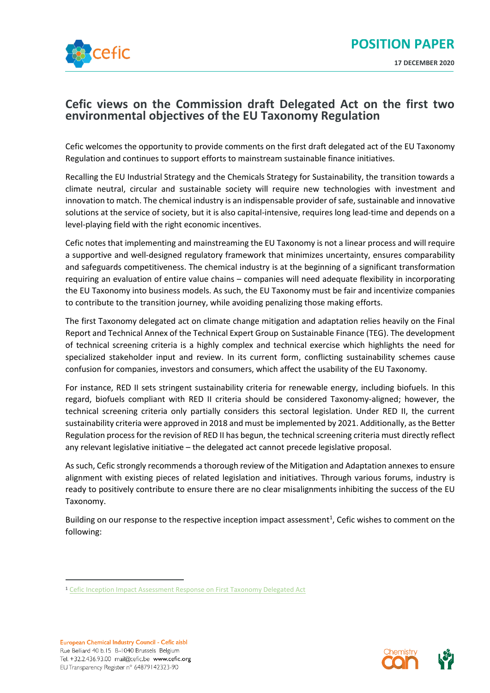

# **Cefic views on the Commission draft Delegated Act on the first two environmental objectives of the EU Taxonomy Regulation**

Cefic welcomes the opportunity to provide comments on the first draft delegated act of the EU Taxonomy Regulation and continues to support efforts to mainstream sustainable finance initiatives.

Recalling the EU Industrial Strategy and the Chemicals Strategy for Sustainability, the transition towards a climate neutral, circular and sustainable society will require new technologies with investment and innovation to match. The chemical industry is an indispensable provider of safe, sustainable and innovative solutions at the service of society, but it is also capital-intensive, requires long lead-time and depends on a level-playing field with the right economic incentives.

Cefic notes that implementing and mainstreaming the EU Taxonomy is not a linear process and will require a supportive and well-designed regulatory framework that minimizes uncertainty, ensures comparability and safeguards competitiveness. The chemical industry is at the beginning of a significant transformation requiring an evaluation of entire value chains – companies will need adequate flexibility in incorporating the EU Taxonomy into business models. As such, the EU Taxonomy must be fair and incentivize companies to contribute to the transition journey, while avoiding penalizing those making efforts.

The first Taxonomy delegated act on climate change mitigation and adaptation relies heavily on the Final Report and Technical Annex of the Technical Expert Group on Sustainable Finance (TEG). The development of technical screening criteria is a highly complex and technical exercise which highlights the need for specialized stakeholder input and review. In its current form, conflicting sustainability schemes cause confusion for companies, investors and consumers, which affect the usability of the EU Taxonomy.

For instance, RED II sets stringent sustainability criteria for renewable energy, including biofuels. In this regard, biofuels compliant with RED II criteria should be considered Taxonomy-aligned; however, the technical screening criteria only partially considers this sectoral legislation. Under RED II, the current sustainability criteria were approved in 2018 and must be implemented by 2021. Additionally, as the Better Regulation process for the revision of RED II has begun, the technical screening criteria must directly reflect any relevant legislative initiative – the delegated act cannot precede legislative proposal.

As such, Cefic strongly recommends a thorough review of the Mitigation and Adaptation annexes to ensure alignment with existing pieces of related legislation and initiatives. Through various forums, industry is ready to positively contribute to ensure there are no clear misalignments inhibiting the success of the EU Taxonomy.

Building on our response to the respective inception impact assessment<sup>1</sup>, Cefic wishes to comment on the following:



<sup>&</sup>lt;sup>1</sup> [Cefic Inception Impact Assessment Response on First Taxonomy Delegated Act](https://ec.europa.eu/info/law/better-regulation/have-your-say/initiatives/12302-Climate-change-mitigation-and-adaptation-taxonomy/F512600)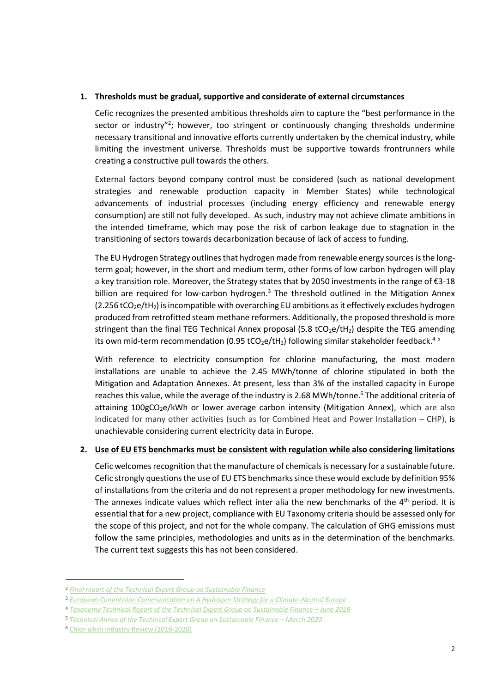# **1. Thresholds must be gradual, supportive and considerate of external circumstances**

Cefic recognizes the presented ambitious thresholds aim to capture the "best performance in the sector or industry"<sup>2</sup>; however, too stringent or continuously changing thresholds undermine necessary transitional and innovative efforts currently undertaken by the chemical industry, while limiting the investment universe. Thresholds must be supportive towards frontrunners while creating a constructive pull towards the others.

External factors beyond company control must be considered (such as national development strategies and renewable production capacity in Member States) while technological advancements of industrial processes (including energy efficiency and renewable energy consumption) are still not fully developed. As such, industry may not achieve climate ambitions in the intended timeframe, which may pose the risk of carbon leakage due to stagnation in the transitioning of sectors towards decarbonization because of lack of access to funding.

The EU Hydrogen Strategy outlines that hydrogen made from renewable energy sources is the longterm goal; however, in the short and medium term, other forms of low carbon hydrogen will play a key transition role. Moreover, the Strategy states that by 2050 investments in the range of €3-18 billion are required for low-carbon hydrogen.<sup>3</sup> The threshold outlined in the Mitigation Annex  $(2.256$  tCO<sub>2</sub>e/tH<sub>2</sub>) is incompatible with overarching EU ambitions as it effectively excludes hydrogen produced from retrofitted steam methane reformers. Additionally, the proposed threshold is more stringent than the final TEG Technical Annex proposal (5.8  $tCO_2e/tH_2$ ) despite the TEG amending its own mid-term recommendation (0.95 tCO<sub>2</sub>e/tH<sub>2</sub>) following similar stakeholder feedback.<sup>45</sup>

With reference to electricity consumption for chlorine manufacturing, the most modern installations are unable to achieve the 2.45 MWh/tonne of chlorine stipulated in both the Mitigation and Adaptation Annexes. At present, less than 3% of the installed capacity in Europe reaches this value, while the average of the industry is 2.68 MWh/tonne.<sup>6</sup> The additional criteria of attaining 100gCO<sub>2</sub>e/kWh or lower average carbon intensity (Mitigation Annex), which are also indicated for many other activities (such as for Combined Heat and Power Installation – CHP), is unachievable considering current electricity data in Europe.

# **2. Use of EU ETS benchmarks must be consistent with regulation while also considering limitations**

Cefic welcomes recognition that the manufacture of chemicals is necessary for a sustainable future. Cefic strongly questions the use of EU ETS benchmarks since these would exclude by definition 95% of installations from the criteria and do not represent a proper methodology for new investments. The annexes indicate values which reflect inter alia the new benchmarks of the  $4<sup>th</sup>$  period. It is essential that for a new project, compliance with EU Taxonomy criteria should be assessed only for the scope of this project, and not for the whole company. The calculation of GHG emissions must follow the same principles, methodologies and units as in the determination of the benchmarks. The current text suggests this has not been considered.

<sup>2</sup> *[Final report of the Technical Expert Group on Sustainable Finance](https://ec.europa.eu/info/sites/info/files/business_economy_euro/banking_and_finance/documents/200309-sustainable-finance-teg-final-report-taxonomy_en.pdf)* 

<sup>3</sup> *[European Commission Communication on A Hydrogen Strategy for a Climate-Neutral Europe](https://ec.europa.eu/energy/sites/ener/files/hydrogen_strategy.pdf)*

<sup>4</sup> [Taxonomy Technical Report of the Technical Expert Group on Sustainable Finance](https://ec.europa.eu/info/sites/info/files/business_economy_euro/banking_and_finance/documents/190618-sustainable-finance-teg-report-taxonomy_en.pdf) - June 2019

<sup>5</sup> *[Technical Annex of the Technical Expert Group on Sustainable Finance](https://ec.europa.eu/info/sites/info/files/business_economy_euro/banking_and_finance/documents/200309-sustainable-finance-teg-final-report-taxonomy-annexes_en.pdf) - March 2020* 

<sup>6</sup> [Chlor-alkali Industry Review \(2019-2020\)](https://www.chlorineindustryreview.com/wp-content/uploads/2020/09/Industry-Review-2019_2020.pdf)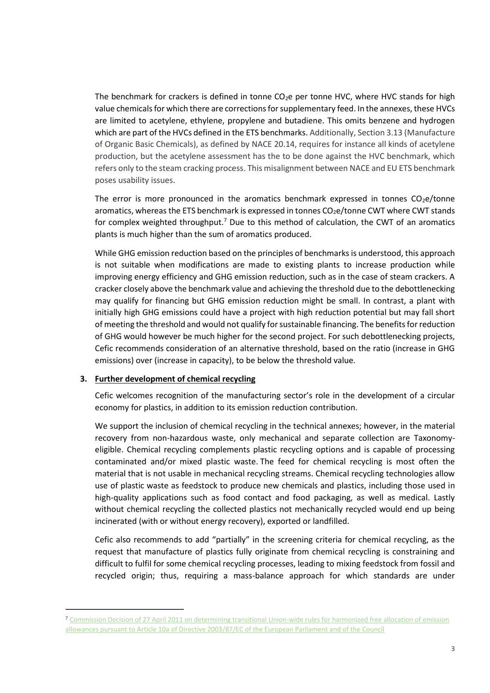The benchmark for crackers is defined in tonne  $CO<sub>2</sub>e$  per tonne HVC, where HVC stands for high value chemicals for which there are corrections for supplementary feed. In the annexes, these HVCs are limited to acetylene, ethylene, propylene and butadiene. This omits benzene and hydrogen which are part of the HVCs defined in the ETS benchmarks. Additionally, Section 3.13 (Manufacture of Organic Basic Chemicals), as defined by NACE 20.14, requires for instance all kinds of acetylene production, but the acetylene assessment has the to be done against the HVC benchmark, which refers only to the steam cracking process. This misalignment between NACE and EU ETS benchmark poses usability issues.

The error is more pronounced in the aromatics benchmark expressed in tonnes  $CO<sub>2</sub>e/tonne$ aromatics, whereas the ETS benchmark is expressed in tonnes  $CO<sub>2</sub>e/tonne$  CWT where CWT stands for complex weighted throughput.<sup>7</sup> Due to this method of calculation, the CWT of an aromatics plants is much higher than the sum of aromatics produced.

While GHG emission reduction based on the principles of benchmarks is understood, this approach is not suitable when modifications are made to existing plants to increase production while improving energy efficiency and GHG emission reduction, such as in the case of steam crackers. A cracker closely above the benchmark value and achieving the threshold due to the debottlenecking may qualify for financing but GHG emission reduction might be small. In contrast, a plant with initially high GHG emissions could have a project with high reduction potential but may fall short of meeting the threshold and would not qualify for sustainable financing. The benefits for reduction of GHG would however be much higher for the second project. For such debottlenecking projects, Cefic recommends consideration of an alternative threshold, based on the ratio (increase in GHG emissions) over (increase in capacity), to be below the threshold value*.*

#### **3. Further development of chemical recycling**

Cefic welcomes recognition of the manufacturing sector's role in the development of a circular economy for plastics, in addition to its emission reduction contribution.

We support the inclusion of chemical recycling in the technical annexes; however, in the material recovery from non-hazardous waste, only mechanical and separate collection are Taxonomyeligible. Chemical recycling complements plastic recycling options and is capable of processing contaminated and/or mixed plastic waste. The feed for chemical recycling is most often the material that is not usable in mechanical recycling streams. Chemical recycling technologies allow use of plastic waste as feedstock to produce new chemicals and plastics, including those used in high-quality applications such as food contact and food packaging, as well as medical. Lastly without chemical recycling the collected plastics not mechanically recycled would end up being incinerated (with or without energy recovery), exported or landfilled.

Cefic also recommends to add "partially" in the screening criteria for chemical recycling, as the request that manufacture of plastics fully originate from chemical recycling is constraining and difficult to fulfil for some chemical recycling processes, leading to mixing feedstock from fossil and recycled origin; thus, requiring a mass-balance approach for which standards are under

<sup>7</sup> [Commission Decision of 27 April 2011 on determining transitional Union-wide rules for harmonized free allocation of emission](https://eur-lex.europa.eu/legal-content/EN/TXT/PDF/?uri=CELEX:32011D0278&from=EN)  [allowances pursuant to Article 10a of Directive 2003/87/EC of the European Parliament and of the Council](https://eur-lex.europa.eu/legal-content/EN/TXT/PDF/?uri=CELEX:32011D0278&from=EN)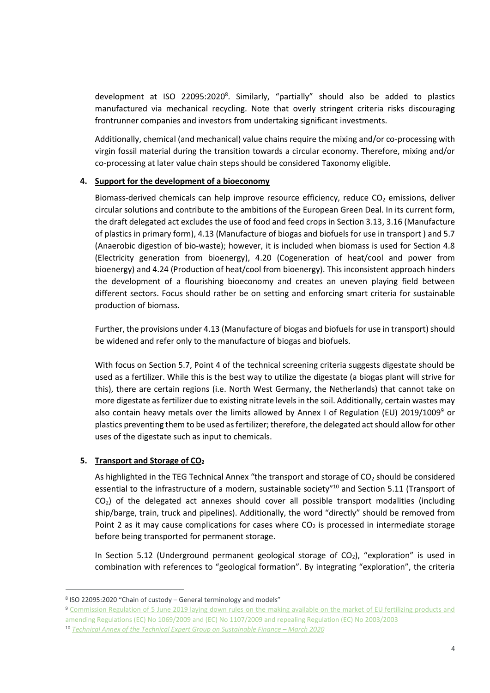development at ISO 22095:2020<sup>8</sup>. Similarly, "partially" should also be added to plastics manufactured via mechanical recycling. Note that overly stringent criteria risks discouraging frontrunner companies and investors from undertaking significant investments.

Additionally, chemical (and mechanical) value chains require the mixing and/or co-processing with virgin fossil material during the transition towards a circular economy. Therefore, mixing and/or co-processing at later value chain steps should be considered Taxonomy eligible.

#### **4. Support for the development of a bioeconomy**

Biomass-derived chemicals can help improve resource efficiency, reduce  $CO<sub>2</sub>$  emissions, deliver circular solutions and contribute to the ambitions of the European Green Deal. In its current form, the draft delegated act excludes the use of food and feed crops in Section 3.13, 3.16 (Manufacture of plastics in primary form), 4.13 (Manufacture of biogas and biofuels for use in transport ) and 5.7 (Anaerobic digestion of bio-waste); however, it is included when biomass is used for Section 4.8 (Electricity generation from bioenergy), 4.20 (Cogeneration of heat/cool and power from bioenergy) and 4.24 (Production of heat/cool from bioenergy). This inconsistent approach hinders the development of a flourishing bioeconomy and creates an uneven playing field between different sectors. Focus should rather be on setting and enforcing smart criteria for sustainable production of biomass.

Further, the provisions under 4.13 (Manufacture of biogas and biofuels for use in transport) should be widened and refer only to the manufacture of biogas and biofuels.

With focus on Section 5.7, Point 4 of the technical screening criteria suggests digestate should be used as a fertilizer. While this is the best way to utilize the digestate (a biogas plant will strive for this), there are certain regions (i.e. North West Germany, the Netherlands) that cannot take on more digestate as fertilizer due to existing nitrate levels in the soil. Additionally, certain wastes may also contain heavy metals over the limits allowed by Annex I of Regulation (EU) 2019/1009<sup>9</sup> or plastics preventing them to be used as fertilizer; therefore, the delegated act should allow for other uses of the digestate such as input to chemicals.

# **5. Transport and Storage of CO<sup>2</sup>**

As highlighted in the TEG Technical Annex "the transport and storage of  $CO<sub>2</sub>$  should be considered essential to the infrastructure of a modern, sustainable society"<sup>10</sup> and Section 5.11 (Transport of  $CO<sub>2</sub>$ ) of the delegated act annexes should cover all possible transport modalities (including ship/barge, train, truck and pipelines). Additionally, the word "directly" should be removed from Point 2 as it may cause complications for cases where  $CO<sub>2</sub>$  is processed in intermediate storage before being transported for permanent storage.

In Section 5.12 (Underground permanent geological storage of  $CO<sub>2</sub>$ ), "exploration" is used in combination with references to "geological formation". By integrating "exploration", the criteria

<sup>8</sup> ISO 22095:2020 "Chain of custody – General terminology and models"

<sup>9</sup> [Commission Regulation of 5 June 2019 laying down rules on the making available on the market of EU](https://eur-lex.europa.eu/legal-content/EN/TXT/?uri=CELEX%3A32019R1009) fertilizing products and amending Regulations (EC) No 1069/2009 and (EC) No [1107/2009 and repealing Regulation \(EC\) No](https://eur-lex.europa.eu/legal-content/EN/TXT/?uri=CELEX%3A32019R1009) 2003/2003

<sup>10</sup> **Technical Annex of [the Technical Expert Group on Sustainable Finance](https://ec.europa.eu/info/sites/info/files/business_economy_euro/banking_and_finance/documents/200309-sustainable-finance-teg-final-report-taxonomy-annexes_en.pdf) - March 2020**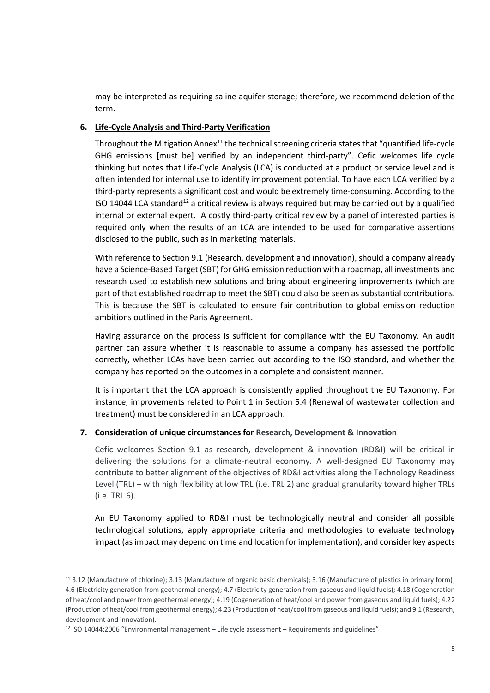may be interpreted as requiring saline aquifer storage; therefore, we recommend deletion of the term.

# **6. Life-Cycle Analysis and Third-Party Verification**

Throughout the Mitigation Annex<sup>11</sup> the technical screening criteria states that "quantified life-cycle GHG emissions [must be] verified by an independent third-party". Cefic welcomes life cycle thinking but notes that Life-Cycle Analysis (LCA) is conducted at a product or service level and is often intended for internal use to identify improvement potential. To have each LCA verified by a third-party represents a significant cost and would be extremely time-consuming. According to the ISO 14044 LCA standard<sup>12</sup> a critical review is always required but may be carried out by a qualified internal or external expert. A costly third-party critical review by a panel of interested parties is required only when the results of an LCA are intended to be used for comparative assertions disclosed to the public, such as in marketing materials.

With reference to Section 9.1 (Research, development and innovation), should a company already have a Science-Based Target (SBT) for GHG emission reduction with a roadmap, all investments and research used to establish new solutions and bring about engineering improvements (which are part of that established roadmap to meet the SBT) could also be seen as substantial contributions. This is because the SBT is calculated to ensure fair contribution to global emission reduction ambitions outlined in the Paris Agreement.

Having assurance on the process is sufficient for compliance with the EU Taxonomy. An audit partner can assure whether it is reasonable to assume a company has assessed the portfolio correctly, whether LCAs have been carried out according to the ISO standard, and whether the company has reported on the outcomes in a complete and consistent manner.

It is important that the LCA approach is consistently applied throughout the EU Taxonomy. For instance, improvements related to Point 1 in Section 5.4 (Renewal of wastewater collection and treatment) must be considered in an LCA approach.

# **7. Consideration of unique circumstances for Research, Development & Innovation**

Cefic welcomes Section 9.1 as research, development & innovation (RD&I) will be critical in delivering the solutions for a climate-neutral economy. A well-designed EU Taxonomy may contribute to better alignment of the objectives of RD&I activities along the Technology Readiness Level (TRL) – with high flexibility at low TRL (i.e. TRL 2) and gradual granularity toward higher TRLs (i.e. TRL 6).

An EU Taxonomy applied to RD&I must be technologically neutral and consider all possible technological solutions, apply appropriate criteria and methodologies to evaluate technology impact (as impact may depend on time and location for implementation), and consider key aspects

<sup>11</sup> 3.12 (Manufacture of chlorine); 3.13 (Manufacture of organic basic chemicals); 3.16 (Manufacture of plastics in primary form); 4.6 (Electricity generation from geothermal energy); 4.7 (Electricity generation from gaseous and liquid fuels); 4.18 (Cogeneration of heat/cool and power from geothermal energy); 4.19 (Cogeneration of heat/cool and power from gaseous and liquid fuels); 4.22 (Production of heat/cool from geothermal energy); 4.23 (Production of heat/cool from gaseous and liquid fuels); and 9.1 (Research, development and innovation).

<sup>12</sup> ISO 14044:2006 "Environmental management – Life cycle assessment – Requirements and guidelines"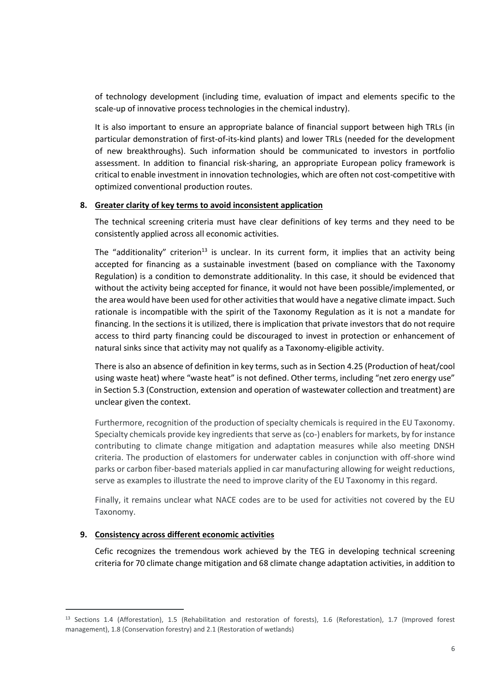of technology development (including time, evaluation of impact and elements specific to the scale-up of innovative process technologies in the chemical industry).

It is also important to ensure an appropriate balance of financial support between high TRLs (in particular demonstration of first-of-its-kind plants) and lower TRLs (needed for the development of new breakthroughs). Such information should be communicated to investors in portfolio assessment. In addition to financial risk-sharing, an appropriate European policy framework is critical to enable investment in innovation technologies, which are often not cost-competitive with optimized conventional production routes.

#### **8. Greater clarity of key terms to avoid inconsistent application**

The technical screening criteria must have clear definitions of key terms and they need to be consistently applied across all economic activities.

The "additionality" criterion<sup>13</sup> is unclear. In its current form, it implies that an activity being accepted for financing as a sustainable investment (based on compliance with the Taxonomy Regulation) is a condition to demonstrate additionality. In this case, it should be evidenced that without the activity being accepted for finance, it would not have been possible/implemented, or the area would have been used for other activities that would have a negative climate impact. Such rationale is incompatible with the spirit of the Taxonomy Regulation as it is not a mandate for financing. In the sections it is utilized, there is implication that private investors that do not require access to third party financing could be discouraged to invest in protection or enhancement of natural sinks since that activity may not qualify as a Taxonomy-eligible activity.

There is also an absence of definition in key terms, such as in Section 4.25 (Production of heat/cool using waste heat) where "waste heat" is not defined. Other terms, including "net zero energy use" in Section 5.3 (Construction, extension and operation of wastewater collection and treatment) are unclear given the context.

Furthermore, recognition of the production of specialty chemicals is required in the EU Taxonomy. Specialty chemicals provide key ingredients that serve as (co-) enablers for markets, by for instance contributing to climate change mitigation and adaptation measures while also meeting DNSH criteria. The production of elastomers for underwater cables in conjunction with off-shore wind parks or carbon fiber-based materials applied in car manufacturing allowing for weight reductions, serve as examples to illustrate the need to improve clarity of the EU Taxonomy in this regard.

Finally, it remains unclear what NACE codes are to be used for activities not covered by the EU Taxonomy.

#### **9. Consistency across different economic activities**

Cefic recognizes the tremendous work achieved by the TEG in developing technical screening criteria for 70 climate change mitigation and 68 climate change adaptation activities, in addition to

<sup>13</sup> Sections 1.4 (Afforestation), 1.5 (Rehabilitation and restoration of forests), 1.6 (Reforestation), 1.7 (Improved forest management), 1.8 (Conservation forestry) and 2.1 (Restoration of wetlands)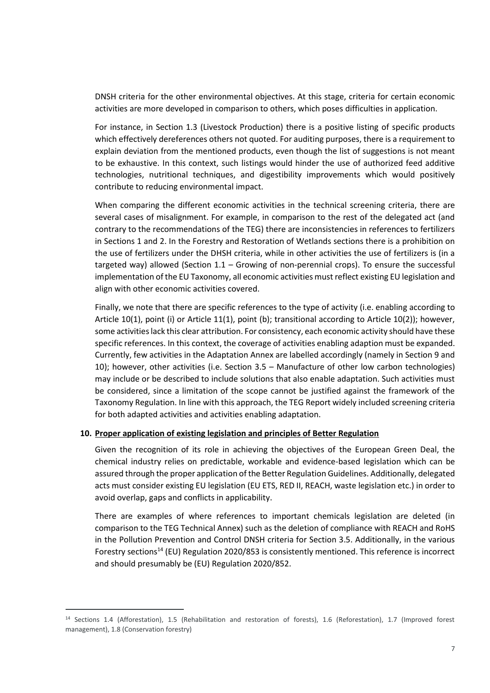DNSH criteria for the other environmental objectives. At this stage, criteria for certain economic activities are more developed in comparison to others, which poses difficulties in application.

For instance, in Section 1.3 (Livestock Production) there is a positive listing of specific products which effectively dereferences others not quoted. For auditing purposes, there is a requirement to explain deviation from the mentioned products, even though the list of suggestions is not meant to be exhaustive. In this context, such listings would hinder the use of authorized feed additive technologies, nutritional techniques, and digestibility improvements which would positively contribute to reducing environmental impact.

When comparing the different economic activities in the technical screening criteria, there are several cases of misalignment. For example, in comparison to the rest of the delegated act (and contrary to the recommendations of the TEG) there are inconsistencies in references to fertilizers in Sections 1 and 2. In the Forestry and Restoration of Wetlands sections there is a prohibition on the use of fertilizers under the DHSH criteria, while in other activities the use of fertilizers is (in a targeted way) allowed (Section 1.1 – Growing of non-perennial crops). To ensure the successful implementation of the EU Taxonomy, all economic activities must reflect existing EU legislation and align with other economic activities covered.

Finally, we note that there are specific references to the type of activity (i.e. enabling according to Article 10(1), point (i) or Article 11(1), point (b); transitional according to Article 10(2)); however, some activities lack this clear attribution. For consistency, each economic activity should have these specific references. In this context, the coverage of activities enabling adaption must be expanded. Currently, few activities in the Adaptation Annex are labelled accordingly (namely in Section 9 and 10); however, other activities (i.e. Section 3.5 – Manufacture of other low carbon technologies) may include or be described to include solutions that also enable adaptation. Such activities must be considered, since a limitation of the scope cannot be justified against the framework of the Taxonomy Regulation. In line with this approach, the TEG Report widely included screening criteria for both adapted activities and activities enabling adaptation.

#### **10. Proper application of existing legislation and principles of Better Regulation**

Given the recognition of its role in achieving the objectives of the European Green Deal, the chemical industry relies on predictable, workable and evidence-based legislation which can be assured through the proper application of the Better Regulation Guidelines. Additionally, delegated acts must consider existing EU legislation (EU ETS, RED II, REACH, waste legislation etc.) in order to avoid overlap, gaps and conflicts in applicability.

There are examples of where references to important chemicals legislation are deleted (in comparison to the TEG Technical Annex) such as the deletion of compliance with REACH and RoHS in the Pollution Prevention and Control DNSH criteria for Section 3.5. Additionally, in the various Forestry sections<sup>14</sup> (EU) Regulation 2020/853 is consistently mentioned. This reference is incorrect and should presumably be (EU) Regulation 2020/852.

<sup>14</sup> Sections 1.4 (Afforestation), 1.5 (Rehabilitation and restoration of forests), 1.6 (Reforestation), 1.7 (Improved forest management), 1.8 (Conservation forestry)